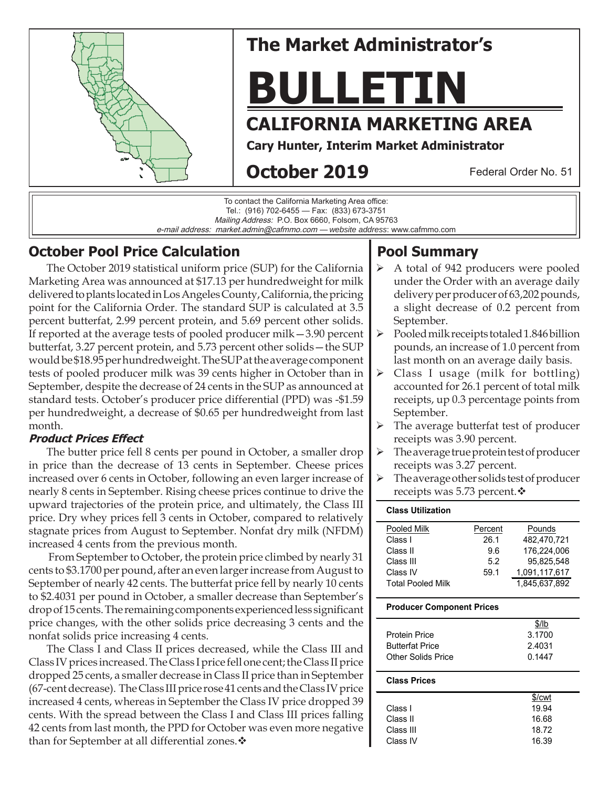

# **The Market Administrator's**

# **BULLETIN**

## **CALIFORNIA MARKETING AREA**

**Cary Hunter, Interim Market Administrator**

## **October 2019**

Federal Order No. 51

To contact the California Marketing Area office: Tel.: (916) 702-6455 — Fax: (833) 673-3751 Mailing Address: P.O. Box 6660, Folsom, CA 95763 e-mail address: market.admin@cafmmo.com — *website address*: www.cafmmo.com

## **October Pool Price Calculation**

The October 2019 statistical uniform price (SUP) for the California Marketing Area was announced at \$17.13 per hundredweight for milk delivered to plants located in Los Angeles County, California, the pricing point for the California Order. The standard SUP is calculated at 3.5 percent butterfat, 2.99 percent protein, and 5.69 percent other solids. If reported at the average tests of pooled producer milk—3.90 percent butterfat, 3.27 percent protein, and 5.73 percent other solids—the SUP would be \$18.95 per hundredweight. The SUP at the average component tests of pooled producer milk was 39 cents higher in October than in September, despite the decrease of 24 cents in the SUP as announced at standard tests. October's producer price differential (PPD) was -\$1.59 per hundredweight, a decrease of \$0.65 per hundredweight from last month.

#### **Product Prices Effect**

The butter price fell 8 cents per pound in October, a smaller drop in price than the decrease of 13 cents in September. Cheese prices increased over 6 cents in October, following an even larger increase of nearly 8 cents in September. Rising cheese prices continue to drive the upward trajectories of the protein price, and ultimately, the Class III price. Dry whey prices fell 3 cents in October, compared to relatively stagnate prices from August to September. Nonfat dry milk (NFDM) increased 4 cents from the previous month.

 From September to October, the protein price climbed by nearly 31 cents to \$3.1700 per pound, after an even larger increase from August to September of nearly 42 cents. The butterfat price fell by nearly 10 cents to \$2.4031 per pound in October, a smaller decrease than September's drop of 15 cents. The remaining components experienced less significant price changes, with the other solids price decreasing 3 cents and the nonfat solids price increasing 4 cents.

The Class I and Class II prices decreased, while the Class III and Class IV prices increased. The Class I price fell one cent; the Class II price dropped 25 cents, a smaller decrease in Class II price than in September (67-cent decrease). The Class III price rose 41 cents and the Class IV price increased 4 cents, whereas in September the Class IV price dropped 39 cents. With the spread between the Class I and Class III prices falling 42 cents from last month, the PPD for October was even more negative than for September at all differential zones.  $\mathbf{\hat{v}}$ 

## **Pool Summary**

- A total of 942 producers were pooled under the Order with an average daily delivery per producer of 63,202 pounds, a slight decrease of 0.2 percent from September.
- $\triangleright$  Pooled milk receipts totaled 1.846 billion pounds, an increase of 1.0 percent from last month on an average daily basis.
- $\triangleright$  Class I usage (milk for bottling) accounted for 26.1 percent of total milk receipts, up 0.3 percentage points from September.
- $\triangleright$  The average butterfat test of producer receipts was 3.90 percent.
- $\triangleright$  The average true protein test of producer receipts was 3.27 percent.
- $\triangleright$  The average other solids test of producer receipts was 5.73 percent. ♦

# **Class Utilization**

| Pooled Milk              | Percent | Pounds        |
|--------------------------|---------|---------------|
| Class I                  | 26.1    | 482.470.721   |
| Class II                 | 96      | 176.224.006   |
| Class III                | 5.2     | 95.825.548    |
| Class IV                 | 59.1    | 1.091.117.617 |
| <b>Total Pooled Milk</b> |         | 1.845.637.892 |

#### **Producer Component Prices**

|                           | \$/lb  |
|---------------------------|--------|
| <b>Protein Price</b>      | 3.1700 |
| <b>Butterfat Price</b>    | 2.4031 |
| <b>Other Solids Price</b> | 0.1447 |
|                           |        |

#### **Class Prices**

|           | \$/cwt |
|-----------|--------|
| Class I   | 19.94  |
| Class II  | 16.68  |
| Class III | 18.72  |
| Class IV  | 16.39  |
|           |        |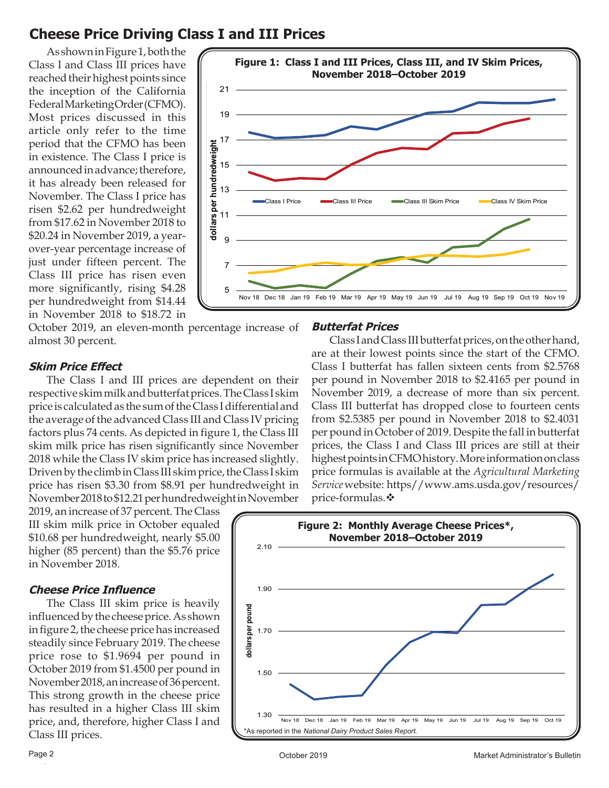## **Cheese Price Driving Class I and III Prices**

As shown in Figure 1, both the Class I and Class III prices have reached their highest points since the inception of the California Federal Marketing Order (CFMO). Most prices discussed in this article only refer to the time period that the CFMO has been in existence. The Class I price is announced in advance; therefore, it has already been released for November. The Class I price has risen \$2.62 per hundredweight from \$17.62 in November 2018 to \$20.24 in November 2019, a yearover-year percentage increase of just under fifteen percent. The Class III price has risen even more significantly, rising \$4.28 per hundredweight from \$14.44 in November 2018 to \$18.72 in



October 2019, an eleven-month percentage increase of almost 30 percent.

#### **Skim Price Effect**

The Class I and III prices are dependent on their respective skim milk and butterfat prices. The Class I skim price is calculated as the sum of the Class I differential and the average of the advanced Class III and Class IV pricing factors plus 74 cents. As depicted in figure 1, the Class III skim milk price has risen significantly since November 2018 while the Class IV skim price has increased slightly. Driven by the climb in Class III skim price, the Class I skim price has risen \$3.30 from \$8.91 per hundredweight in November 2018 to \$12.21 per hundredweight in November

2019, an increase of 37 percent. The Class III skim milk price in October equaled \$10.68 per hundredweight, nearly \$5.00 higher (85 percent) than the \$5.76 price in November 2018.

#### **Cheese Price Influence**

The Class III skim price is heavily influenced by the cheese price. As shown in figure 2, the cheese price has increased steadily since February 2019. The cheese price rose to \$1.9694 per pound in October 2019 from \$1.4500 per pound in November 2018, an increase of 36 percent. This strong growth in the cheese price has resulted in a higher Class III skim price, and, therefore, higher Class I and Class III prices.

#### **Butterfat Prices**

Class I and Class III butterfat prices, on the other hand, are at their lowest points since the start of the CFMO. Class I butterfat has fallen sixteen cents from \$2.5768 per pound in November 2018 to \$2.4165 per pound in November 2019, a decrease of more than six percent. Class III butterfat has dropped close to fourteen cents from \$2.5385 per pound in November 2018 to \$2.4031 per pound in October of 2019. Despite the fall in butterfat prices, the Class I and Class III prices are still at their highest points in CFMO history. More information on class price formulas is available at the *Agricultural Marketing Service* website: https//www.ams.usda.gov/resources/ price-formulas.

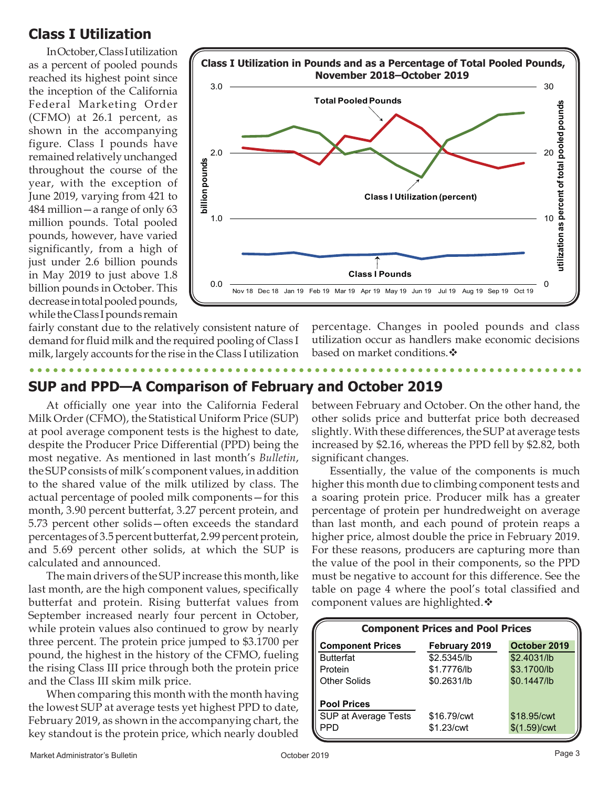## **Class I Utilization**

In October, Class I utilization as a percent of pooled pounds reached its highest point since the inception of the California Federal Marketing Order (CFMO) at 26.1 percent, as shown in the accompanying figure. Class I pounds have remained relatively unchanged throughout the course of the year, with the exception of June 2019, varying from 421 to 484 million—a range of only 63 million pounds. Total pooled pounds, however, have varied significantly, from a high of just under 2.6 billion pounds in May 2019 to just above 1.8 billion pounds in October. This decrease in total pooled pounds, while the Class I pounds remain



fairly constant due to the relatively consistent nature of demand for fluid milk and the required pooling of Class I milk, largely accounts for the rise in the Class I utilization

percentage. Changes in pooled pounds and class utilization occur as handlers make economic decisions based on market conditions. <sup>◆</sup>

## **SUP and PPD—A Comparison of February and October 2019**

At officially one year into the California Federal Milk Order (CFMO), the Statistical Uniform Price (SUP) at pool average component tests is the highest to date, despite the Producer Price Differential (PPD) being the most negative. As mentioned in last month's *Bulletin*, the SUP consists of milk's component values, in addition to the shared value of the milk utilized by class. The actual percentage of pooled milk components—for this month, 3.90 percent butterfat, 3.27 percent protein, and 5.73 percent other solids—often exceeds the standard percentages of 3.5 percent butterfat, 2.99 percent protein, and 5.69 percent other solids, at which the SUP is calculated and announced.

The main drivers of the SUP increase this month, like last month, are the high component values, specifically butterfat and protein. Rising butterfat values from September increased nearly four percent in October, while protein values also continued to grow by nearly three percent. The protein price jumped to \$3.1700 per pound, the highest in the history of the CFMO, fueling the rising Class III price through both the protein price and the Class III skim milk price.

When comparing this month with the month having the lowest SUP at average tests yet highest PPD to date, February 2019, as shown in the accompanying chart, the key standout is the protein price, which nearly doubled

between February and October. On the other hand, the other solids price and butterfat price both decreased slightly. With these differences, the SUP at average tests increased by \$2.16, whereas the PPD fell by \$2.82, both significant changes.

Essentially, the value of the components is much higher this month due to climbing component tests and a soaring protein price. Producer milk has a greater percentage of protein per hundredweight on average than last month, and each pound of protein reaps a higher price, almost double the price in February 2019. For these reasons, producers are capturing more than the value of the pool in their components, so the PPD must be negative to account for this difference. See the table on page 4 where the pool's total classified and component values are highlighted. ❖

| <b>Component Prices and Pool Prices</b> |               |                          |  |  |  |
|-----------------------------------------|---------------|--------------------------|--|--|--|
| <b>Component Prices</b>                 | February 2019 | October 2019             |  |  |  |
| <b>Butterfat</b>                        | \$2.5345/lb   | \$2.4031/lb              |  |  |  |
| Protein                                 | \$1.7776/lb   | \$3.1700/lb              |  |  |  |
| <b>Other Solids</b>                     | \$0.2631/lb   | \$0.1447/lb              |  |  |  |
| <b>Pool Prices</b>                      |               |                          |  |  |  |
| SUP at Average Tests                    | \$16.79/cwt   | \$18.95/cwt              |  |  |  |
| <b>PPD</b>                              | \$1.23/cwt    | \$(1.59)/ <sub>cvt</sub> |  |  |  |